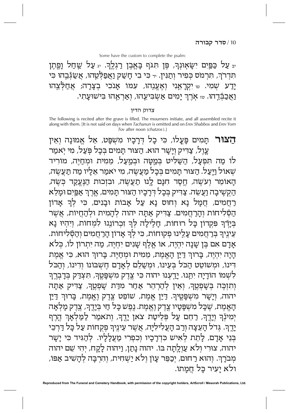## צדוק הדין

The following is recited after the grave is filled. The mourners initiate, and all assembled recite it along with them. [It is not said on days when Tachanun is omitted and on Erev Shabbos and Erev Yom Tov after noon (chatzos).]

**הַצוֹר** תָּמִים פָּעֱלוֹ, כִּי כָל דִּרָכָיו מִשְׁפָּט, אֵל אֵמוּנָה וְאֵין עֲוֶל, צַדִּיק וְיָשָר הוּא. הַצוּר תָּמִים בְּכָל פְּעַל, מִי יְאמַר לוֹ מַה תִפְעָל, הַשַּׁלִּיט בְּמַטָּה וּבְמַעַל, מֵמִית וּמְחַיֶּה, מוֹרִיד שְׁאוֹל וַיְּעַל. הַצוּר תָמִים בְּכָל מַעֲשֶׂה, מִי יֹאמַר אֵלָיו מַה תַּעֲשֶׂה, הָאוֹמֵר וְעֹשֶׂה, חֱסֶד חִנָּם לֳנוּ תַעֲשֶׂה, וּבִזְכוּת הַנֶּעֱקַד בְּשֶׂה, הַקִשִּׁיבָה וַעֲשֵׂה. צַדִּיק בְּכָל דְּרָכָיו הַצוּר תָּמִים, אֶרֶךְ אַפִּיִם וּמָלֵא רַחֲמִים, חֲמָל נָא וְחוּס נָא עַל אָבוֹת וּבָנִים, כִּי לְךָ אָדוֹן הַסְּלִיחוֹת וְהָרַחֲמִים. צַדִּיק אַתָּה יהוה לְהָמִית וּלְהַחֲיוֹת, אֲשֶׁר בְּיָדֶךְ פִּקְרוֹן כָּל רוּחוֹת, חָלִילָה לְךָ וִכְרוֹנֵנוּ לִמְחוֹת, וְיִהְיוּ נָא עֵינֶיךְ בְּרַחֲמִים עָלֵינוּ פְקוּחוֹת, כִּי לְךָ אָדוֹן הָרַחֲמִים וְהַסְּלִיחוֹת. אָדָם אִם בֶּן שָׁנָה יִהְיֶה, אוֹ אֱלֶף שָׁנִים יִחְיֶה, מַה יִּתְרוֹן לוֹ, כְּלֹא הָיָה יִהְיֶה, בָּרוּךְ דַיַּן הָאֱמֶת, מֵמִית וּמְחַיֶּה. בָּרוּךְ הוּא, כִּי אֱמֶת דינו, ומשוטט הכל בְעֵינו, ומְשַׁלֵם לְאָדָם חֶשְׁבּוֹנוֹ וְדִינוֹ, וְהַכֹּל לִשְׁמוֹ הוֹדָיָה יִתְנוּ. יָדֵעְנוּ יהוה כִּי צֶדֶק מִשְׁפָּטֶךְ, תִּצְדַק בְּדָבְרֶךְ וְתִזְכֶּה בְּשָׁפְטֶךְ, וְאֵין לְהַרְהֵר אַחַר מִדַּת שָׁפְטֶךְ, צַדִּיק אַתָּה יהוה, וְיָשָׁר מִשְׁפָּטֶיךָ. דַיַּן אֱמֶת, שׁוֹפֵט צֵדֶק וֶאֵמֶת, בָּרוּךְ דַיַּן הָאֱמֶת, שֶׁכָּל מִשְׁפָּטָיו צֶדֶק וֶאֱמֶת. נֶפֶשׁ כָּל חַי בְּיָדֶךָ, צֶדֶק מָלְאָה יְמִינְֿךָ וְיָדֶךָ, רַחֵם עָל פְּלֵיטַת צֹאן יָדֶךָ, וְתֹאמַר לַמַּלְאָךְ הֶרֶף יָדֶךָ. גְּדל הָעֵצָה וְרַב הָעֲלִילִיָּה, אֲשֶׁר עֵינֶיךָ פְקֻחוֹת עַל כָּל דַּרְכֵי בְּנֵי אָדָם, לָתֵת לְאִיש כִּדְרָבָיו וְכִפְרִי מַעֲלָלָיו. לְהַגִּיד כִּי יָשָׁר יהוה, צוּרִי וִלֹא עַוָלֻתָה בּוֹ. יהוה נָתַן, וַיהוה לָקָח, יִהִי שֵׁם יהוה מְבֹרָךְ. וְהוּא רַחוּם, יְכַפֵּר עָוֹן וְלֹא יַשְׁחִית, וְהִרְבָּה לְהָשִׁיב אַפּוֹ, ולא יָעיר כָּל חֲמָתוֹ.